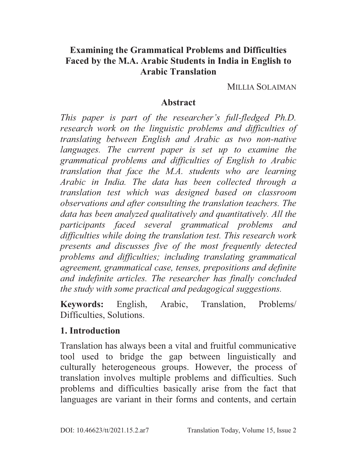## **Examining the Grammatical Problems and Difficulties Faced by the M.A. Arabic Students in India in English to Arabic Translation**

MILLIA SOLAIMAN

#### **Abstract**

*This paper is part of the researcher's full-fledged Ph.D. research work on the linguistic problems and difficulties of translating between English and Arabic as two non-native languages. The current paper is set up to examine the grammatical problems and difficulties of English to Arabic translation that face the M.A. students who are learning Arabic in India. The data has been collected through a translation test which was designed based on classroom observations and after consulting the translation teachers. The data has been analyzed qualitatively and quantitatively. All the participants faced several grammatical problems and difficulties while doing the translation test. This research work presents and discusses five of the most frequently detected problems and difficulties; including translating grammatical agreement, grammatical case, tenses, prepositions and definite and indefinite articles. The researcher has finally concluded the study with some practical and pedagogical suggestions.* 

**Keywords:** English, Arabic, Translation, Problems/ Difficulties, Solutions.

#### **1. Introduction**

Translation has always been a vital and fruitful communicative tool used to bridge the gap between linguistically and culturally heterogeneous groups. However, the process of translation involves multiple problems and difficulties. Such problems and difficulties basically arise from the fact that languages are variant in their forms and contents, and certain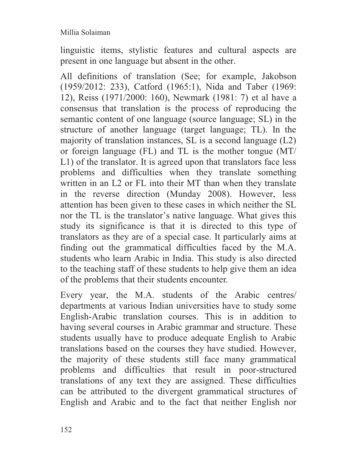linguistic items, stylistic features and cultural aspects are present in one language but absent in the other.

All definitions of translation (See; for example, Jakobson (1959/2012: 233), Catford (1965:1), Nida and Taber (1969: 12), Reiss (1971/2000: 160), Newmark (1981: 7) et al have a consensus that translation is the process of reproducing the semantic content of one language (source language; SL) in the structure of another language (target language; TL). In the majority of translation instances, SL is a second language (L2) or foreign language (FL) and TL is the mother tongue (MT/ L1) of the translator. It is agreed upon that translators face less problems and difficulties when they translate something written in an L2 or FL into their MT than when they translate in the reverse direction (Munday 2008). However, less attention has been given to these cases in which neither the SL nor the TL is the translator's native language. What gives this study its significance is that it is directed to this type of translators as they are of a special case. It particularly aims at finding out the grammatical difficulties faced by the M.A. students who learn Arabic in India. This study is also directed to the teaching staff of these students to help give them an idea of the problems that their students encounter.

Every year, the M.A. students of the Arabic centres/ departments at various Indian universities have to study some English-Arabic translation courses. This is in addition to having several courses in Arabic grammar and structure. These students usually have to produce adequate English to Arabic translations based on the courses they have studied. However, the majority of these students still face many grammatical problems and difficulties that result in poor-structured translations of any text they are assigned. These difficulties can be attributed to the divergent grammatical structures of English and Arabic and to the fact that neither English nor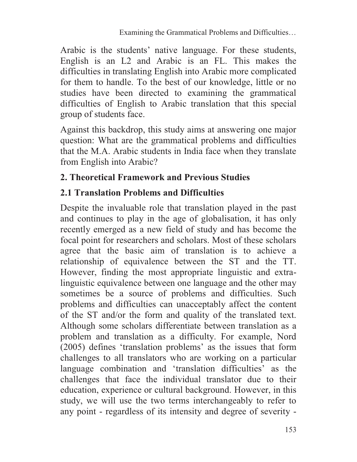Arabic is the students' native language. For these students, English is an L2 and Arabic is an FL. This makes the difficulties in translating English into Arabic more complicated for them to handle. To the best of our knowledge, little or no studies have been directed to examining the grammatical difficulties of English to Arabic translation that this special group of students face.

Against this backdrop, this study aims at answering one major question: What are the grammatical problems and difficulties that the M.A. Arabic students in India face when they translate from English into Arabic?

## **2. Theoretical Framework and Previous Studies**

# **2.1 Translation Problems and Difficulties**

Despite the invaluable role that translation played in the past and continues to play in the age of globalisation, it has only recently emerged as a new field of study and has become the focal point for researchers and scholars. Most of these scholars agree that the basic aim of translation is to achieve a relationship of equivalence between the ST and the TT. However, finding the most appropriate linguistic and extralinguistic equivalence between one language and the other may sometimes be a source of problems and difficulties. Such problems and difficulties can unacceptably affect the content of the ST and/or the form and quality of the translated text. Although some scholars differentiate between translation as a problem and translation as a difficulty. For example, Nord (2005) defines 'translation problems' as the issues that form challenges to all translators who are working on a particular language combination and 'translation difficulties' as the challenges that face the individual translator due to their education, experience or cultural background. However, in this study, we will use the two terms interchangeably to refer to any point - regardless of its intensity and degree of severity -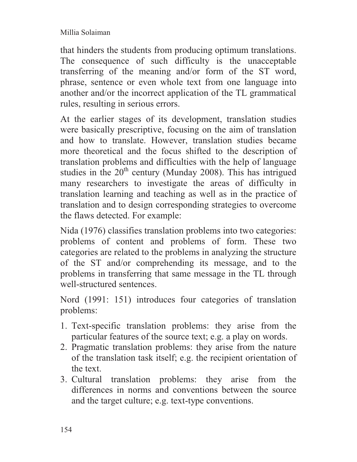that hinders the students from producing optimum translations. The consequence of such difficulty is the unacceptable transferring of the meaning and/or form of the ST word, phrase, sentence or even whole text from one language into another and/or the incorrect application of the TL grammatical rules, resulting in serious errors.

At the earlier stages of its development, translation studies were basically prescriptive, focusing on the aim of translation and how to translate. However, translation studies became more theoretical and the focus shifted to the description of translation problems and difficulties with the help of language studies in the  $20<sup>th</sup>$  century (Munday 2008). This has intrigued many researchers to investigate the areas of difficulty in translation learning and teaching as well as in the practice of translation and to design corresponding strategies to overcome the flaws detected. For example:

Nida (1976) classifies translation problems into two categories: problems of content and problems of form. These two categories are related to the problems in analyzing the structure of the ST and/or comprehending its message, and to the problems in transferring that same message in the TL through well-structured sentences.

Nord (1991: 151) introduces four categories of translation problems:

- 1. Text-specific translation problems: they arise from the particular features of the source text; e.g. a play on words.
- 2. Pragmatic translation problems: they arise from the nature of the translation task itself; e.g. the recipient orientation of the text.
- 3. Cultural translation problems: they arise from the differences in norms and conventions between the source and the target culture; e.g. text-type conventions.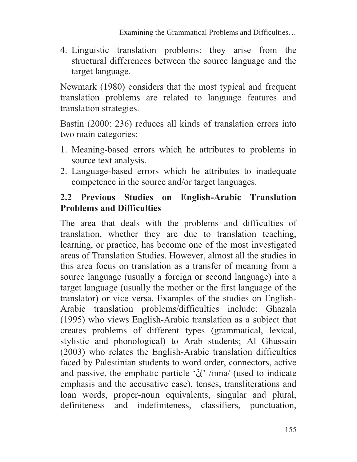4. Linguistic translation problems: they arise from the structural differences between the source language and the target language.

Newmark (1980) considers that the most typical and frequent translation problems are related to language features and translation strategies.

Bastin (2000: 236) reduces all kinds of translation errors into two main categories:

- 1. Meaning-based errors which he attributes to problems in source text analysis.
- 2. Language-based errors which he attributes to inadequate competence in the source and/or target languages.

## **2.2 Previous Studies on English-Arabic Translation Problems and Difficulties**

The area that deals with the problems and difficulties of translation, whether they are due to translation teaching, learning, or practice, has become one of the most investigated areas of Translation Studies. However, almost all the studies in this area focus on translation as a transfer of meaning from a source language (usually a foreign or second language) into a target language (usually the mother or the first language of the translator) or vice versa. Examples of the studies on English-Arabic translation problems/difficulties include: Ghazala (1995) who views English-Arabic translation as a subject that creates problems of different types (grammatical, lexical, stylistic and phonological) to Arab students; Al Ghussain (2003) who relates the English-Arabic translation difficulties faced by Palestinian students to word order, connectors, active and passive, the emphatic particle 'إنّ /inna/ (used to indicate emphasis and the accusative case), tenses, transliterations and loan words, proper-noun equivalents, singular and plural, definiteness and indefiniteness, classifiers, punctuation,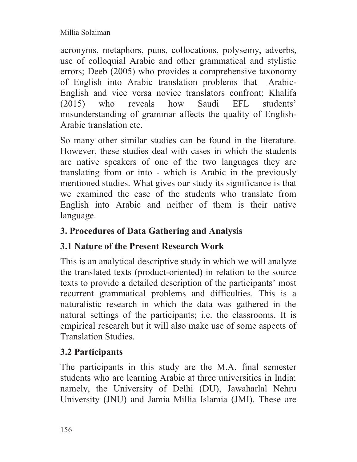acronyms, metaphors, puns, collocations, polysemy, adverbs, use of colloquial Arabic and other grammatical and stylistic errors; Deeb (2005) who provides a comprehensive taxonomy of English into Arabic translation problems that Arabic-English and vice versa novice translators confront; Khalifa (2015) who reveals how Saudi EFL students' misunderstanding of grammar affects the quality of English-Arabic translation etc.

So many other similar studies can be found in the literature. However, these studies deal with cases in which the students are native speakers of one of the two languages they are translating from or into - which is Arabic in the previously mentioned studies. What gives our study its significance is that we examined the case of the students who translate from English into Arabic and neither of them is their native language.

## **3. Procedures of Data Gathering and Analysis**

# **3.1 Nature of the Present Research Work**

This is an analytical descriptive study in which we will analyze the translated texts (product-oriented) in relation to the source texts to provide a detailed description of the participants' most recurrent grammatical problems and difficulties. This is a naturalistic research in which the data was gathered in the natural settings of the participants; i.e. the classrooms. It is empirical research but it will also make use of some aspects of Translation Studies.

# **3.2 Participants**

The participants in this study are the M.A. final semester students who are learning Arabic at three universities in India; namely, the University of Delhi (DU), Jawaharlal Nehru University (JNU) and Jamia Millia Islamia (JMI). These are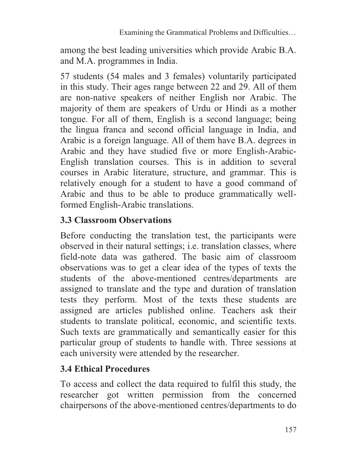among the best leading universities which provide Arabic B.A. and M.A. programmes in India.

57 students (54 males and 3 females) voluntarily participated in this study. Their ages range between 22 and 29. All of them are non-native speakers of neither English nor Arabic. The majority of them are speakers of Urdu or Hindi as a mother tongue. For all of them, English is a second language; being the lingua franca and second official language in India, and Arabic is a foreign language. All of them have B.A. degrees in Arabic and they have studied five or more English-Arabic-English translation courses. This is in addition to several courses in Arabic literature, structure, and grammar. This is relatively enough for a student to have a good command of Arabic and thus to be able to produce grammatically wellformed English-Arabic translations.

### **3.3 Classroom Observations**

Before conducting the translation test, the participants were observed in their natural settings; i.e. translation classes, where field-note data was gathered. The basic aim of classroom observations was to get a clear idea of the types of texts the students of the above-mentioned centres/departments are assigned to translate and the type and duration of translation tests they perform. Most of the texts these students are assigned are articles published online. Teachers ask their students to translate political, economic, and scientific texts. Such texts are grammatically and semantically easier for this particular group of students to handle with. Three sessions at each university were attended by the researcher.

# **3.4 Ethical Procedures**

To access and collect the data required to fulfil this study, the researcher got written permission from the concerned chairpersons of the above-mentioned centres/departments to do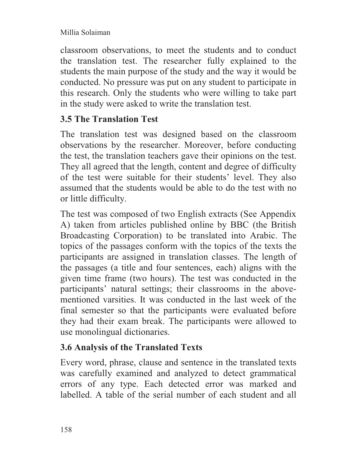classroom observations, to meet the students and to conduct the translation test. The researcher fully explained to the students the main purpose of the study and the way it would be conducted. No pressure was put on any student to participate in this research. Only the students who were willing to take part in the study were asked to write the translation test.

## **3.5 The Translation Test**

The translation test was designed based on the classroom observations by the researcher. Moreover, before conducting the test, the translation teachers gave their opinions on the test. They all agreed that the length, content and degree of difficulty of the test were suitable for their students' level. They also assumed that the students would be able to do the test with no or little difficulty.

The test was composed of two English extracts (See Appendix A) taken from articles published online by BBC (the British Broadcasting Corporation) to be translated into Arabic. The topics of the passages conform with the topics of the texts the participants are assigned in translation classes. The length of the passages (a title and four sentences, each) aligns with the given time frame (two hours). The test was conducted in the participants' natural settings; their classrooms in the abovementioned varsities. It was conducted in the last week of the final semester so that the participants were evaluated before they had their exam break. The participants were allowed to use monolingual dictionaries.

# **3.6 Analysis of the Translated Texts**

Every word, phrase, clause and sentence in the translated texts was carefully examined and analyzed to detect grammatical errors of any type. Each detected error was marked and labelled. A table of the serial number of each student and all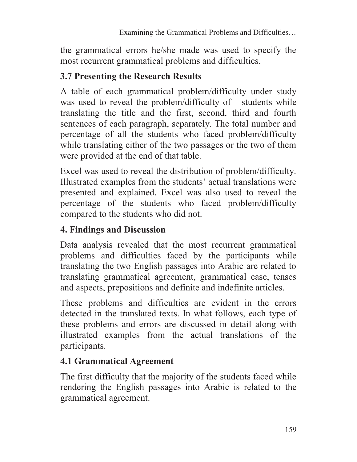the grammatical errors he/she made was used to specify the most recurrent grammatical problems and difficulties.

## **3.7 Presenting the Research Results**

A table of each grammatical problem/difficulty under study was used to reveal the problem/difficulty of students while translating the title and the first, second, third and fourth sentences of each paragraph, separately. The total number and percentage of all the students who faced problem/difficulty while translating either of the two passages or the two of them were provided at the end of that table.

Excel was used to reveal the distribution of problem/difficulty. Illustrated examples from the students' actual translations were presented and explained. Excel was also used to reveal the percentage of the students who faced problem/difficulty compared to the students who did not.

# **4. Findings and Discussion**

Data analysis revealed that the most recurrent grammatical problems and difficulties faced by the participants while translating the two English passages into Arabic are related to translating grammatical agreement, grammatical case, tenses and aspects, prepositions and definite and indefinite articles.

These problems and difficulties are evident in the errors detected in the translated texts. In what follows, each type of these problems and errors are discussed in detail along with illustrated examples from the actual translations of the participants.

# **4.1 Grammatical Agreement**

The first difficulty that the majority of the students faced while rendering the English passages into Arabic is related to the grammatical agreement.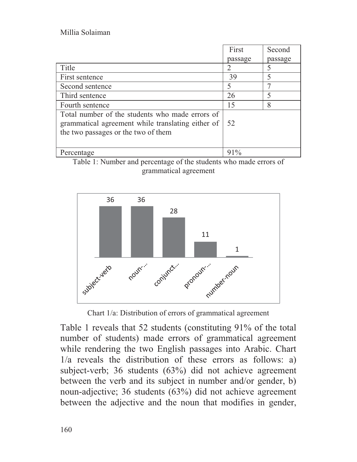|                                                                                                                                             | First                       | Second  |
|---------------------------------------------------------------------------------------------------------------------------------------------|-----------------------------|---------|
|                                                                                                                                             | passage                     | passage |
| Title                                                                                                                                       | $\mathcal{D}_{\mathcal{A}}$ |         |
| First sentence                                                                                                                              | 39                          | 5       |
| Second sentence                                                                                                                             | 5                           | ⇁       |
| Third sentence                                                                                                                              | 26                          |         |
| Fourth sentence                                                                                                                             | 15                          | 8       |
| Total number of the students who made errors of<br>grammatical agreement while translating either of<br>the two passages or the two of them | 52                          |         |
| Percentage                                                                                                                                  | $91\%$                      |         |





Chart 1/a: Distribution of errors of grammatical agreement

Table 1 reveals that 52 students (constituting 91% of the total number of students) made errors of grammatical agreement while rendering the two English passages into Arabic. Chart 1/a reveals the distribution of these errors as follows: a) subject-verb; 36 students (63%) did not achieve agreement between the verb and its subject in number and/or gender, b) noun-adjective; 36 students (63%) did not achieve agreement between the adjective and the noun that modifies in gender,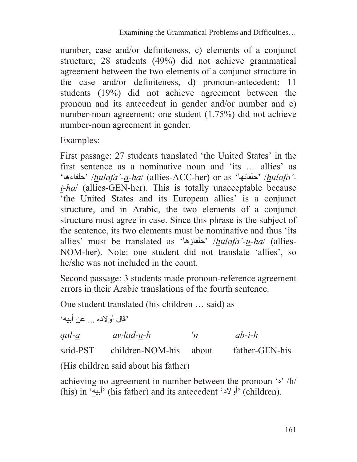number, case and/or definiteness, c) elements of a conjunct structure; 28 students (49%) did not achieve grammatical agreement between the two elements of a conjunct structure in the case and/or definiteness, d) pronoun-antecedent; 11 students (19%) did not achieve agreement between the pronoun and its antecedent in gender and/or number and e) number-noun agreement; one student (1.75%) did not achieve number-noun agreement in gender.

Examples:

First passage: 27 students translated 'the United States' in the first sentence as a nominative noun and 'its … allies' as 'حلفاءها '/*hulafa'-a-ha*/ (allies-ACC-her) or as 'حلفائها '/*hulafa' i-ha*/ (allies-GEN-her). This is totally unacceptable because 'the United States and its European allies' is a conjunct structure, and in Arabic, the two elements of a conjunct structure must agree in case. Since this phrase is the subject of the sentence, its two elements must be nominative and thus 'its allies' must be translated as 'حلفاؤها '/*hulafa'-u-ha*/ (allies-NOM-her). Note: one student did not translate 'allies', so he/she was not included in the count.

Second passage: 3 students made pronoun-reference agreement errors in their Arabic translations of the fourth sentence.

One student translated (his children … said) as

<sup>و</sup>قال أو لاده ... عن أبيه<sup>،</sup>

*qal-a awlad-u-h 'n ab-i-h* 

said-PST children-NOM-his about father-GEN-his

(His children said about his father)

achieving no agreement in number between the pronoun  $\cdot \cdot /h/$ (his) in 'أبيه) 'his father) and its antecedent 'أولاد) 'children).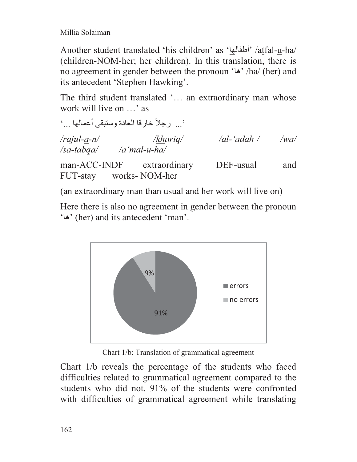Another student translated 'his children' as 'أطفالها '/atfal-u-ha/ (children-NOM-her; her children). In this translation, there is no agreement in gender between the pronoun 'ها '/ha/ (her) and its antecedent 'Stephen Hawking'.

The third student translated '… an extraordinary man whose work will live on …' as

ً خارقا العادة وستبقى أعمالها ...' '... رجلا */rajul-a-n/ /khariq/ /al-'adah / /wa/ /sa-tabqa/ /a'mal-u-ha/*  man-ACC-INDF extraordinary DEF-usual and FUT-stay works- NOM-her

(an extraordinary man than usual and her work will live on)

Here there is also no agreement in gender between the pronoun 'ها) 'her) and its antecedent 'man'.



Chart 1/b: Translation of grammatical agreement

Chart 1/b reveals the percentage of the students who faced difficulties related to grammatical agreement compared to the students who did not. 91% of the students were confronted with difficulties of grammatical agreement while translating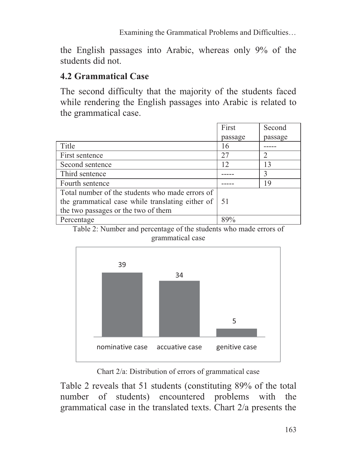Examining the Grammatical Problems and Difficulties…

the English passages into Arabic, whereas only 9% of the students did not.

### **4.2 Grammatical Case**

The second difficulty that the majority of the students faced while rendering the English passages into Arabic is related to the grammatical case.

|                                                  | First   | Second  |
|--------------------------------------------------|---------|---------|
|                                                  | passage | passage |
| Title                                            | 16      |         |
| First sentence                                   | 27      | 2       |
| Second sentence                                  | 12      | 13      |
| Third sentence                                   |         | 3       |
| Fourth sentence                                  |         | 19      |
| Total number of the students who made errors of  |         |         |
| the grammatical case while translating either of | -51     |         |
| the two passages or the two of them              |         |         |
| Percentage                                       | 89%     |         |

Table 2: Number and percentage of the students who made errors of grammatical case



Chart 2/a: Distribution of errors of grammatical case

Table 2 reveals that 51 students (constituting 89% of the total number of students) encountered problems with the grammatical case in the translated texts. Chart 2/a presents the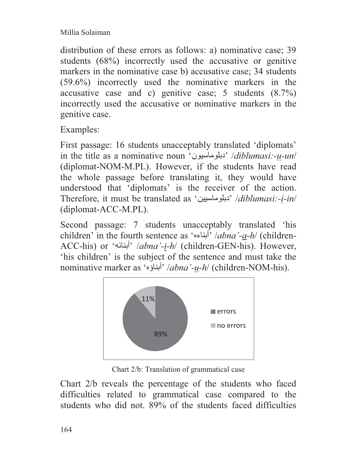distribution of these errors as follows: a) nominative case; 39 students (68%) incorrectly used the accusative or genitive markers in the nominative case b) accusative case; 34 students (59.6%) incorrectly used the nominative markers in the accusative case and c) genitive case; 5 students (8.7%) incorrectly used the accusative or nominative markers in the genitive case.

Examples:

First passage: 16 students unacceptably translated 'diplomats' in the title as a nominative noun 'دبلوماسيون '/*diblumasi:-u-un*/ (diplomat-NOM-M.PL). However, if the students have read the whole passage before translating it, they would have understood that 'diplomats' is the receiver of the action. Therefore, it must be translated as 'دبلوماسيين '/*diblumasi:-i-in*/ (diplomat-ACC-M.PL).

Second passage: 7 students unacceptably translated 'his children' in the fourth sentence as ' أ بناءه ' /*abna'-a-h*/ (children-ACC-his) or 'أبنائه '/*abna'-i-h*/ (children-GEN-his). However, 'his children' is the subject of the sentence and must take the nominative marker as 'أبناؤه '/*abna'-u-h*/ (children-NOM-his).



Chart 2/b: Translation of grammatical case

Chart 2/b reveals the percentage of the students who faced difficulties related to grammatical case compared to the students who did not. 89% of the students faced difficulties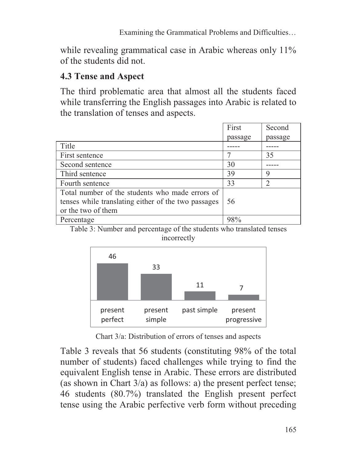while revealing grammatical case in Arabic whereas only 11% of the students did not.

# **4.3 Tense and Aspect**

The third problematic area that almost all the students faced while transferring the English passages into Arabic is related to the translation of tenses and aspects.

|                                                     | First   | Second        |
|-----------------------------------------------------|---------|---------------|
|                                                     | passage | passage       |
| Title                                               |         |               |
| First sentence                                      |         | 35            |
| Second sentence                                     | 30      |               |
| Third sentence                                      | 39      | 9             |
| Fourth sentence                                     | 33      | $\mathcal{D}$ |
| Total number of the students who made errors of     |         |               |
| tenses while translating either of the two passages | 56      |               |
| or the two of them                                  |         |               |
| Percentage                                          | 98%     |               |

Table 3: Number and percentage of the students who translated tenses incorrectly



Chart 3/a: Distribution of errors of tenses and aspects

Table 3 reveals that 56 students (constituting 98% of the total number of students) faced challenges while trying to find the equivalent English tense in Arabic. These errors are distributed (as shown in Chart 3/a) as follows: a) the present perfect tense; 46 students (80.7%) translated the English present perfect tense using the Arabic perfective verb form without preceding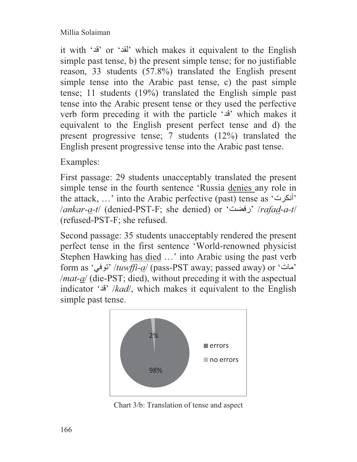it with 'قد 'or 'لقد 'which makes it equivalent to the English simple past tense, b) the present simple tense; for no justifiable reason, 33 students (57.8%) translated the English present simple tense into the Arabic past tense, c) the past simple tense; 11 students (19%) translated the English simple past tense into the Arabic present tense or they used the perfective verb form preceding it with the particle 'قد 'which makes it equivalent to the English present perfect tense and d) the present progressive tense; 7 students (12%) translated the English present progressive tense into the Arabic past tense.

Examples:

First passage: 29 students unacceptably translated the present simple tense in the fourth sentence 'Russia denies any role in the attack, …' into the Arabic perfective (past) tense as 'أنكرت ' /*ankar-a-t*/ (denied-PST-F; she denied) or 'رفضت '/*rafad-a-t*/ (refused-PST-F; she refused.

Second passage: 35 students unacceptably rendered the present perfect tense in the first sentence 'World-renowned physicist Stephen Hawking has died …' into Arabic using the past verb form as 'توفي '/*tuwffi-a*/ (pass-PST away; passed away) or 'مات ' /*mat-a*/ (die-PST; died), without preceding it with the aspectual indicator 'قد '/*kad*/, which makes it equivalent to the English simple past tense.



Chart 3/b: Translation of tense and aspect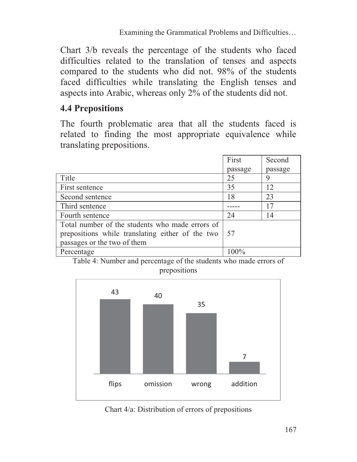Chart 3/b reveals the percentage of the students who faced difficulties related to the translation of tenses and aspects compared to the students who did not. 98% of the students faced difficulties while translating the English tenses and aspects into Arabic, whereas only 2% of the students did not.

## **4.4 Prepositions**

The fourth problematic area that all the students faced is related to finding the most appropriate equivalence while translating prepositions.

|                                                  | First   | Second  |
|--------------------------------------------------|---------|---------|
|                                                  | passage | passage |
| Title                                            | 25      | 9       |
| First sentence                                   | 35      | 12      |
| Second sentence                                  | 18      | 23      |
| Third sentence                                   |         | 17      |
| Fourth sentence                                  | 24      | 14      |
| Total number of the students who made errors of  |         |         |
| prepositions while translating either of the two | 57      |         |
| passages or the two of them                      |         |         |
| Percentage                                       | $100\%$ |         |

Table 4: Number and percentage of the students who made errors of prepositions



Chart 4/a: Distribution of errors of prepositions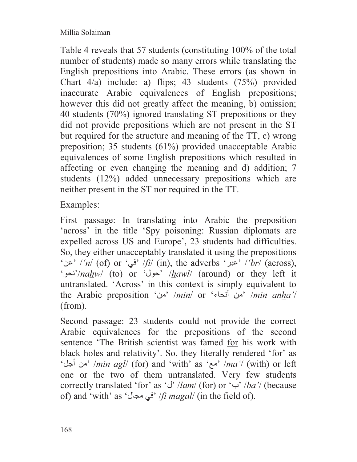Table 4 reveals that 57 students (constituting 100% of the total number of students) made so many errors while translating the English prepositions into Arabic. These errors (as shown in Chart 4/a) include: a) flips; 43 students (75%) provided inaccurate Arabic equivalences of English prepositions; however this did not greatly affect the meaning, b) omission; 40 students (70%) ignored translating ST prepositions or they did not provide prepositions which are not present in the ST but required for the structure and meaning of the TT, c) wrong preposition; 35 students (61%) provided unacceptable Arabic equivalences of some English prepositions which resulted in affecting or even changing the meaning and d) addition; 7 students (12%) added unnecessary prepositions which are neither present in the ST nor required in the TT.

Examples:

First passage: In translating into Arabic the preposition 'across' in the title 'Spy poisoning: Russian diplomats are expelled across US and Europe', 23 students had difficulties. So, they either unacceptably translated it using the prepositions 'عن '/*'n*/ (of) or 'في '/*fi*/ (in), the adverbs 'عبر '/*'br*/ (across), 'نحو'/*nahw*/ (to) or 'حول '/*hawl*/ (around) or they left it untranslated. 'Across' in this context is simply equivalent to the Arabic preposition 'من '/*min*/ or 'أنحاء من '/*min anha'*/ (from).

Second passage: 23 students could not provide the correct Arabic equivalences for the prepositions of the second sentence 'The British scientist was famed for his work with black holes and relativity'. So, they literally rendered 'for' as 'أجل من '/*min agl*/ (for) and 'with' as 'مع '/*ma'*/ (with) or left one or the two of them untranslated. Very few students correctly translated 'for' as 'ل '/*lam*/ (for) or 'ب '/*ba'*/ (because of) and 'with' as 'مجال في '/*fi magal*/ (in the field of).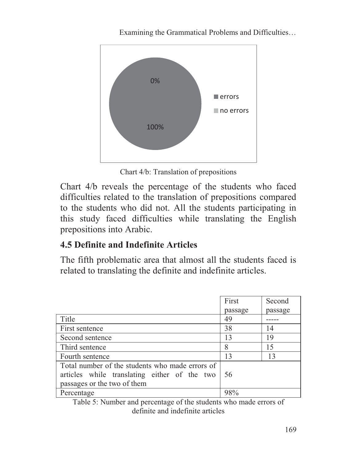

Examining the Grammatical Problems and Difficulties…

Chart 4/b: Translation of prepositions

Chart 4/b reveals the percentage of the students who faced difficulties related to the translation of prepositions compared to the students who did not. All the students participating in this study faced difficulties while translating the English prepositions into Arabic.

# **4.5 Definite and Indefinite Articles**

The fifth problematic area that almost all the students faced is related to translating the definite and indefinite articles.

|                                                 | First   | Second  |
|-------------------------------------------------|---------|---------|
|                                                 | passage | passage |
| Title                                           | 49      |         |
| First sentence                                  | 38      | 14      |
| Second sentence                                 | 13      | 19      |
| Third sentence                                  | 8       | 15      |
| Fourth sentence                                 | 13      | 13      |
| Total number of the students who made errors of |         |         |
| articles while translating either of the two    | -56     |         |
| passages or the two of them                     |         |         |
| Percentage                                      | 98%     |         |

Table 5: Number and percentage of the students who made errors of definite and indefinite articles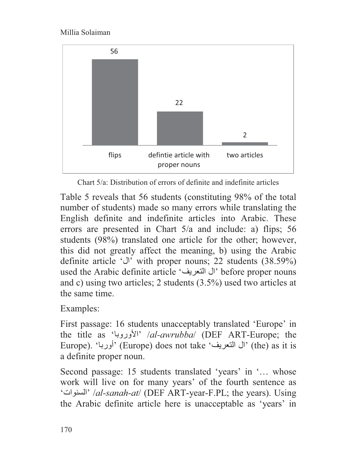

Chart 5/a: Distribution of errors of definite and indefinite articles

Table 5 reveals that 56 students (constituting 98% of the total number of students) made so many errors while translating the English definite and indefinite articles into Arabic. These errors are presented in Chart 5/a and include: a) flips; 56 students (98%) translated one article for the other; however, this did not greatly affect the meaning, b) using the Arabic definite article 'ال 'with proper nouns; 22 students (38.59%) used the Arabic definite article 'ال التعريف' before proper nouns and c) using two articles; 2 students (3.5%) used two articles at the same time.

Examples:

First passage: 16 students unacceptably translated 'Europe' in the title as '<sup>'</sup>الأوروبا'' /*al-awrubba*/ (DEF ART-Europe; the Europe). 'أوربا) 'Europe) does not take 'التعريف ال) 'the) as it is a definite proper noun.

Second passage: 15 students translated 'years' in '… whose work will live on for many years' of the fourth sentence as 'السنوات '/*al-sanah-at*/ (DEF ART-year-F.PL; the years). Using the Arabic definite article here is unacceptable as 'years' in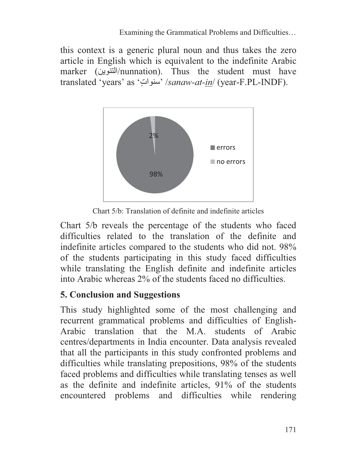this context is a generic plural noun and thus takes the zero article in English which is equivalent to the indefinite Arabic marker (التنوين/nunnation). Thus the student must have translated 'years' as 'سنوات' /sanaw-at-in/ (year-F.PL-INDF).



Chart 5/b: Translation of definite and indefinite articles

Chart 5/b reveals the percentage of the students who faced difficulties related to the translation of the definite and indefinite articles compared to the students who did not. 98% of the students participating in this study faced difficulties while translating the English definite and indefinite articles into Arabic whereas 2% of the students faced no difficulties.

## **5. Conclusion and Suggestions**

This study highlighted some of the most challenging and recurrent grammatical problems and difficulties of English-Arabic translation that the M.A. students of Arabic centres/departments in India encounter. Data analysis revealed that all the participants in this study confronted problems and difficulties while translating prepositions, 98% of the students faced problems and difficulties while translating tenses as well as the definite and indefinite articles, 91% of the students encountered problems and difficulties while rendering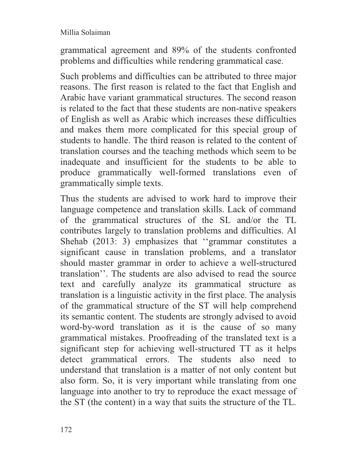grammatical agreement and 89% of the students confronted problems and difficulties while rendering grammatical case.

Such problems and difficulties can be attributed to three major reasons. The first reason is related to the fact that English and Arabic have variant grammatical structures. The second reason is related to the fact that these students are non-native speakers of English as well as Arabic which increases these difficulties and makes them more complicated for this special group of students to handle. The third reason is related to the content of translation courses and the teaching methods which seem to be inadequate and insufficient for the students to be able to produce grammatically well-formed translations even of grammatically simple texts.

Thus the students are advised to work hard to improve their language competence and translation skills. Lack of command of the grammatical structures of the SL and/or the TL contributes largely to translation problems and difficulties. Al Shehab (2013: 3) emphasizes that ''grammar constitutes a significant cause in translation problems, and a translator should master grammar in order to achieve a well-structured translation''. The students are also advised to read the source text and carefully analyze its grammatical structure as translation is a linguistic activity in the first place. The analysis of the grammatical structure of the ST will help comprehend its semantic content. The students are strongly advised to avoid word-by-word translation as it is the cause of so many grammatical mistakes. Proofreading of the translated text is a significant step for achieving well-structured TT as it helps detect grammatical errors. The students also need to understand that translation is a matter of not only content but also form. So, it is very important while translating from one language into another to try to reproduce the exact message of the ST (the content) in a way that suits the structure of the TL.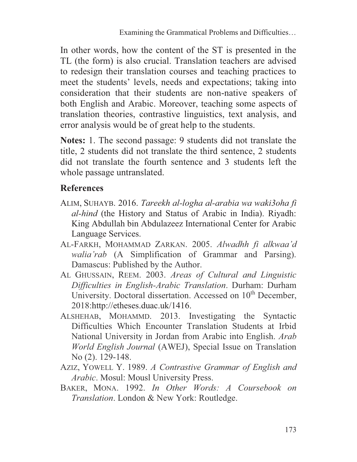In other words, how the content of the ST is presented in the TL (the form) is also crucial. Translation teachers are advised to redesign their translation courses and teaching practices to meet the students' levels, needs and expectations; taking into consideration that their students are non-native speakers of both English and Arabic. Moreover, teaching some aspects of translation theories, contrastive linguistics, text analysis, and error analysis would be of great help to the students.

**Notes:** 1. The second passage: 9 students did not translate the title, 2 students did not translate the third sentence, 2 students did not translate the fourth sentence and 3 students left the whole passage untranslated.

## **References**

- ALIM, SUHAYB. 2016. *Tareekh al-logha al-arabia wa waki3oha fi al-hind* (the History and Status of Arabic in India). Riyadh: King Abdullah bin Abdulazeez International Center for Arabic Language Services.
- AL-FARKH, MOHAMMAD ZARKAN. 2005. *Alwadhh fi alkwaa'd walia'rab* (A Simplification of Grammar and Parsing). Damascus: Published by the Author.
- AL GHUSSAIN, REEM. 2003. *Areas of Cultural and Linguistic Difficulties in English-Arabic Translation*. Durham: Durham University. Doctoral dissertation. Accessed on 10<sup>th</sup> December, 2018:http://etheses.duac.uk/1416.
- ALSHEHAB, MOHAMMD. 2013. Investigating the Syntactic Difficulties Which Encounter Translation Students at Irbid National University in Jordan from Arabic into English. *Arab World English Journal* (AWEJ), Special Issue on Translation No (2). 129-148.
- AZIZ, YOWELL Y. 1989. *A Contrastive Grammar of English and Arabic*. Mosul: Mousl University Press.
- BAKER, MONA. 1992. *In Other Words: A Coursebook on Translation*. London & New York: Routledge.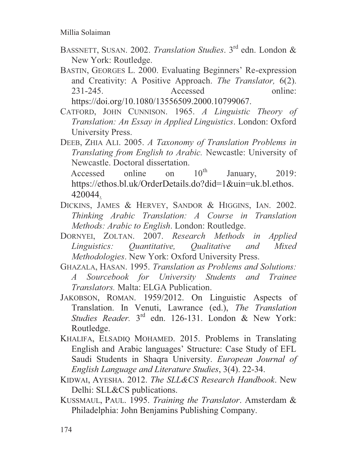- BASSNETT, SUSAN. 2002. *Translation Studies*. 3rd edn. London & New York: Routledge.
- BASTIN, GEORGES L. 2000. Evaluating Beginners' Re-expression and Creativity: A Positive Approach. *The Translator,* 6(2). 231-245. Accessed online: https://doi.org/10.1080/13556509.2000.10799067.
- CATFORD, JOHN CUNNISON. 1965. *A Linguistic Theory of Translation: An Essay in Applied Linguistics*. London: Oxford University Press.
- DEEB, ZHIA ALI. 2005. *A Taxonomy of Translation Problems in Translating from English to Arabic.* Newcastle: University of Newcastle. Doctoral dissertation.

Accessed online on  $10^{th}$  January, 2019: https://ethos.bl.uk/OrderDetails.do?did=1&uin=uk.bl.ethos. 420044.

- DICKINS, JAMES & HERVEY, SANDOR & HIGGINS, IAN. 2002. *Thinking Arabic Translation: A Course in Translation Methods: Arabic to English*. London: Routledge.
- DORNYEI, ZOLTAN. 2007. *Research Methods in Applied Linguistics: Quantitative, Qualitative and Mixed Methodologies*. New York: Oxford University Press.
- GHAZALA, HASAN. 1995. *Translation as Problems and Solutions: A Sourcebook for University Students and Trainee Translators.* Malta: ELGA Publication.
- JAKOBSON, ROMAN. 1959/2012. On Linguistic Aspects of Translation. In Venuti, Lawrance (ed.), *The Translation Studies Reader.* 3rd edn. 126-131. London & New York: Routledge.
- KHALIFA, ELSADIQ MOHAMED. 2015. Problems in Translating English and Arabic languages' Structure: Case Study of EFL Saudi Students in Shaqra University. *European Journal of English Language and Literature Studies*, 3(4). 22-34.
- KIDWAI, AYESHA. 2012. *The SLL&CS Research Handbook*. New Delhi: SLL&CS publications.
- KUSSMAUL, PAUL. 1995. *Training the Translator*. Amsterdam & Philadelphia: John Benjamins Publishing Company.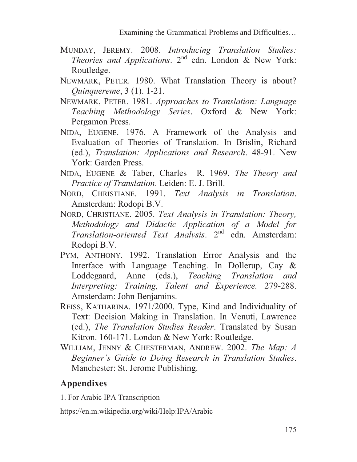- MUNDAY, JEREMY. 2008. *Introducing Translation Studies: Theories and Applications*. 2nd edn. London & New York: Routledge.
- NEWMARK, PETER. 1980. What Translation Theory is about? *Quinquereme*, 3 (1). 1-21.
- NEWMARK, PETER. 1981. *Approaches to Translation: Language Teaching Methodology Series*. Oxford & New York: Pergamon Press.
- NIDA, EUGENE. 1976. A Framework of the Analysis and Evaluation of Theories of Translation. In Brislin, Richard (ed.), *Translation: Applications and Research*. 48-91. New York: Garden Press.
- NIDA, EUGENE & Taber, Charles R. 1969. *The Theory and Practice of Translation*. Leiden: E. J. Brill.
- NORD, CHRISTIANE. 1991. *Text Analysis in Translation*. Amsterdam: Rodopi B.V.
- NORD, CHRISTIANE. 2005. *Text Analysis in Translation: Theory, Methodology and Didactic Application of a Model for Translation-oriented Text Analysis*. 2nd edn. Amsterdam: Rodopi B.V.
- PYM, ANTHONY. 1992. Translation Error Analysis and the Interface with Language Teaching. In Dollerup, Cay & Loddegaard, Anne (eds.), *Teaching Translation and Interpreting: Training, Talent and Experience.* 279-288. Amsterdam: John Benjamins.
- REISS, KATHARINA. 1971/2000. Type, Kind and Individuality of Text: Decision Making in Translation. In Venuti, Lawrence (ed.), *The Translation Studies Reader*. Translated by Susan Kitron. 160-171. London & New York: Routledge.
- WILLIAM, JENNY & CHESTERMAN, ANDREW. 2002. *The Map: A Beginner's Guide to Doing Research in Translation Studies*. Manchester: St. Jerome Publishing.

# **Appendixes**

1. For Arabic IPA Transcription

https://en.m.wikipedia.org/wiki/Help:IPA/Arabic